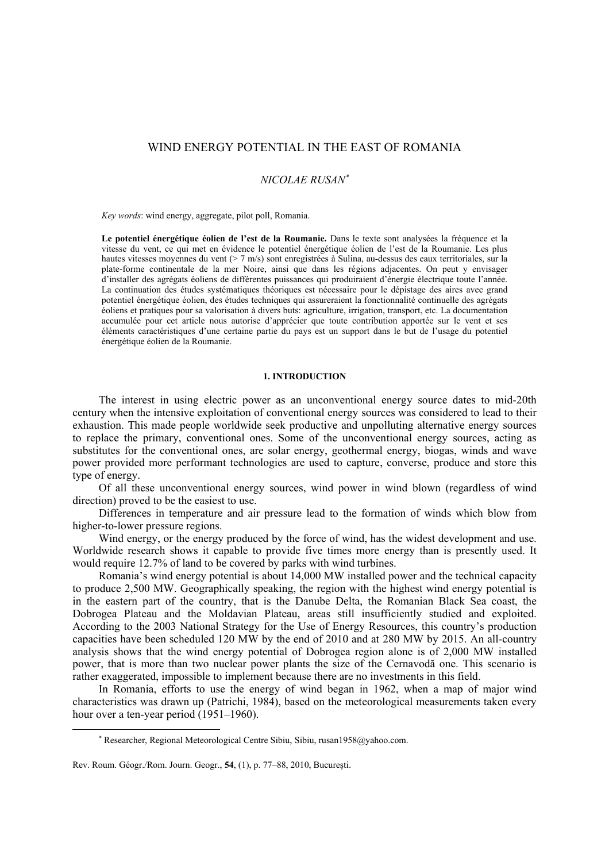# WIND ENERGY POTENTIAL IN THE EAST OF ROMANIA

### *NICOLAE RUSAN*<sup>∗</sup>

*Key words*: wind energy, aggregate, pilot poll, Romania.

**Le potentiel énergétique éolien de l'est de la Roumanie.** Dans le texte sont analysées la fréquence et la vitesse du vent, ce qui met en évidence le potentiel énergétique éolien de l'est de la Roumanie. Les plus hautes vitesses moyennes du vent (> 7 m/s) sont enregistrées à Sulina, au-dessus des eaux territoriales, sur la plate-forme continentale de la mer Noire, ainsi que dans les régions adjacentes. On peut y envisager d'installer des agrégats éoliens de différentes puissances qui produiraient d'énergie électrique toute l'année. La continuation des études systématiques théoriques est nécessaire pour le dépistage des aires avec grand potentiel énergétique éolien, des études techniques qui assureraient la fonctionnalité continuelle des agrégats éoliens et pratiques pour sa valorisation à divers buts: agriculture, irrigation, transport, etc. La documentation accumulée pour cet article nous autorise d'apprécier que toute contribution apportée sur le vent et ses éléments caractéristiques d'une certaine partie du pays est un support dans le but de l'usage du potentiel énergétique éolien de la Roumanie.

### **1. INTRODUCTION**

The interest in using electric power as an unconventional energy source dates to mid-20th century when the intensive exploitation of conventional energy sources was considered to lead to their exhaustion. This made people worldwide seek productive and unpolluting alternative energy sources to replace the primary, conventional ones. Some of the unconventional energy sources, acting as substitutes for the conventional ones, are solar energy, geothermal energy, biogas, winds and wave power provided more performant technologies are used to capture, converse, produce and store this type of energy.

Of all these unconventional energy sources, wind power in wind blown (regardless of wind direction) proved to be the easiest to use.

Differences in temperature and air pressure lead to the formation of winds which blow from higher-to-lower pressure regions.

Wind energy, or the energy produced by the force of wind, has the widest development and use. Worldwide research shows it capable to provide five times more energy than is presently used. It would require 12.7% of land to be covered by parks with wind turbines.

Romania's wind energy potential is about 14,000 MW installed power and the technical capacity to produce 2,500 MW. Geographically speaking, the region with the highest wind energy potential is in the eastern part of the country, that is the Danube Delta, the Romanian Black Sea coast, the Dobrogea Plateau and the Moldavian Plateau, areas still insufficiently studied and exploited. According to the 2003 National Strategy for the Use of Energy Resources, this country's production capacities have been scheduled 120 MW by the end of 2010 and at 280 MW by 2015. An all-country analysis shows that the wind energy potential of Dobrogea region alone is of 2,000 MW installed power, that is more than two nuclear power plants the size of the Cernavodă one. This scenario is rather exaggerated, impossible to implement because there are no investments in this field.

In Romania, efforts to use the energy of wind began in 1962, when a map of major wind characteristics was drawn up (Patrichi, 1984), based on the meteorological measurements taken every hour over a ten-year period (1951–1960).

 $\overline{a}$ 

<sup>∗</sup> Researcher, Regional Meteorological Centre Sibiu, Sibiu, rusan1958@yahoo.com.

Rev. Roum. Géogr./Rom. Journ. Geogr., **54**, (1), p. 77–88, 2010, Bucureşti.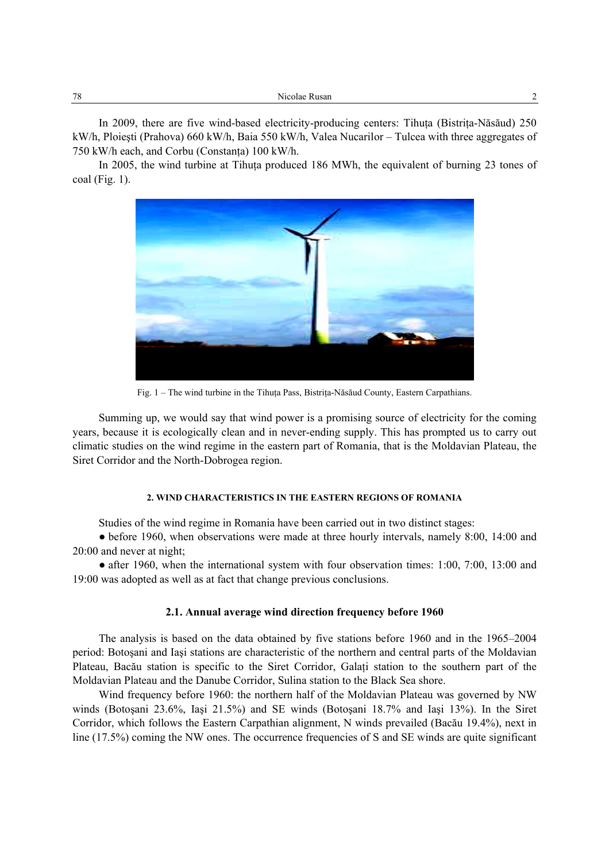| 78 | Nicolae Rusan<br>. |  |
|----|--------------------|--|
|----|--------------------|--|

In 2009, there are five wind-based electricity-producing centers: Tihuta (Bistrita-Năsăud) 250 kW/h, Ploieşti (Prahova) 660 kW/h, Baia 550 kW/h, Valea Nucarilor – Tulcea with three aggregates of 750 kW/h each, and Corbu (Constanţa) 100 kW/h.

In 2005, the wind turbine at Tihuta produced 186 MWh, the equivalent of burning 23 tones of coal (Fig. 1).



Fig. 1 – The wind turbine in the Tihuţa Pass, Bistriţa-Năsăud County, Eastern Carpathians.

Summing up, we would say that wind power is a promising source of electricity for the coming years, because it is ecologically clean and in never-ending supply. This has prompted us to carry out climatic studies on the wind regime in the eastern part of Romania, that is the Moldavian Plateau, the Siret Corridor and the North-Dobrogea region.

## **2. WIND CHARACTERISTICS IN THE EASTERN REGIONS OF ROMANIA**

Studies of the wind regime in Romania have been carried out in two distinct stages:

• before 1960, when observations were made at three hourly intervals, namely 8:00, 14:00 and 20:00 and never at night;

• after 1960, when the international system with four observation times: 1:00, 7:00, 13:00 and 19:00 was adopted as well as at fact that change previous conclusions.

### **2.1. Annual average wind direction frequency before 1960**

The analysis is based on the data obtained by five stations before 1960 and in the 1965–2004 period: Botoşani and Iaşi stations are characteristic of the northern and central parts of the Moldavian Plateau, Bacău station is specific to the Siret Corridor, Galaţi station to the southern part of the Moldavian Plateau and the Danube Corridor, Sulina station to the Black Sea shore.

Wind frequency before 1960: the northern half of the Moldavian Plateau was governed by NW winds (Botoşani 23.6%, Iaşi 21.5%) and SE winds (Botoşani 18.7% and Iaşi 13%). In the Siret Corridor, which follows the Eastern Carpathian alignment, N winds prevailed (Bacău 19.4%), next in line (17.5%) coming the NW ones. The occurrence frequencies of S and SE winds are quite significant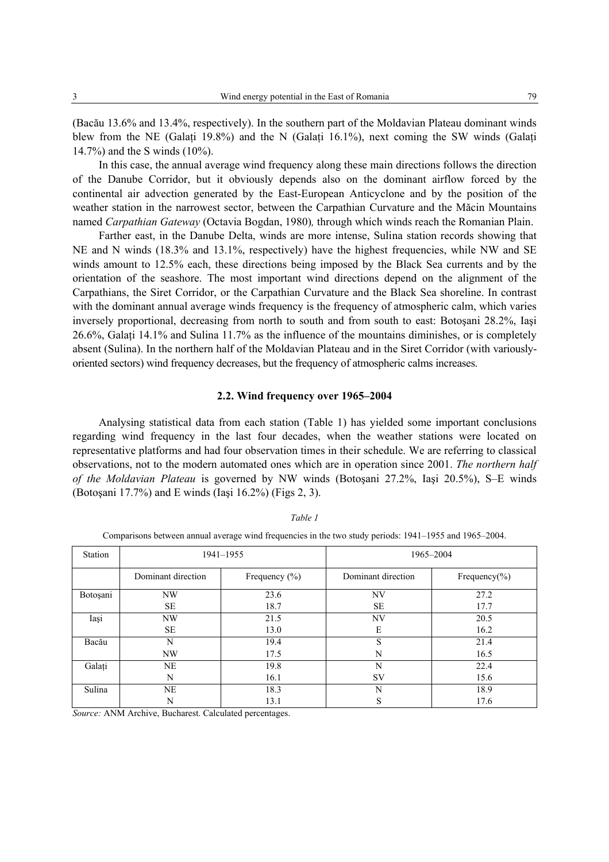(Bacău 13.6% and 13.4%, respectively). In the southern part of the Moldavian Plateau dominant winds blew from the NE (Galati 19.8%) and the N (Galati 16.1%), next coming the SW winds (Galati 14.7%) and the S winds (10%).

In this case, the annual average wind frequency along these main directions follows the direction of the Danube Corridor, but it obviously depends also on the dominant airflow forced by the continental air advection generated by the East-European Anticyclone and by the position of the weather station in the narrowest sector, between the Carpathian Curvature and the Măcin Mountains named *Carpathian Gateway* (Octavia Bogdan, 1980)*,* through which winds reach the Romanian Plain.

Farther east, in the Danube Delta, winds are more intense, Sulina station records showing that NE and N winds (18.3% and 13.1%, respectively) have the highest frequencies, while NW and SE winds amount to 12.5% each, these directions being imposed by the Black Sea currents and by the orientation of the seashore. The most important wind directions depend on the alignment of the Carpathians, the Siret Corridor, or the Carpathian Curvature and the Black Sea shoreline. In contrast with the dominant annual average winds frequency is the frequency of atmospheric calm, which varies inversely proportional, decreasing from north to south and from south to east: Botoşani 28.2%, Iaşi 26.6%, Galaţi 14.1% and Sulina 11.7% as the influence of the mountains diminishes, or is completely absent (Sulina). In the northern half of the Moldavian Plateau and in the Siret Corridor (with variouslyoriented sectors) wind frequency decreases, but the frequency of atmospheric calms increases.

#### **2.2. Wind frequency over 1965–2004**

Analysing statistical data from each station (Table 1) has yielded some important conclusions regarding wind frequency in the last four decades, when the weather stations were located on representative platforms and had four observation times in their schedule. We are referring to classical observations, not to the modern automated ones which are in operation since 2001. *The northern half of the Moldavian Plateau* is governed by NW winds (Botoşani 27.2%, Iaşi 20.5%), S–E winds (Botoşani 17.7%) and E winds (Iaşi 16.2%) (Figs 2, 3).

| Station  |                    | 1941-1955         | 1965-2004          |                   |  |  |  |
|----------|--------------------|-------------------|--------------------|-------------------|--|--|--|
|          | Dominant direction | Frequency $(\% )$ | Dominant direction | Frequency $(\% )$ |  |  |  |
| Botoșani | NW                 | 23.6              | NV                 | 27.2              |  |  |  |
|          | <b>SE</b>          | 18.7              | <b>SE</b>          | 17.7              |  |  |  |
| Iași     | NW                 | 21.5              | NV                 | 20.5              |  |  |  |
|          | <b>SE</b>          | 13.0              | E                  | 16.2              |  |  |  |
| Bacău    | N                  | 19.4              | S                  | 21.4              |  |  |  |
|          | NW                 | 17.5              | N                  | 16.5              |  |  |  |
| Galați   | NE                 | 19.8              | N                  | 22.4              |  |  |  |
|          | N                  | 16.1              | SV                 | 15.6              |  |  |  |
| Sulina   | NE                 | 18.3              | N                  | 18.9              |  |  |  |
|          | N                  | 13.1              | S                  | 17.6              |  |  |  |

*Table 1* 

Comparisons between annual average wind frequencies in the two study periods: 1941–1955 and 1965–2004.

*Source:* ANM Archive, Bucharest. Calculated percentages.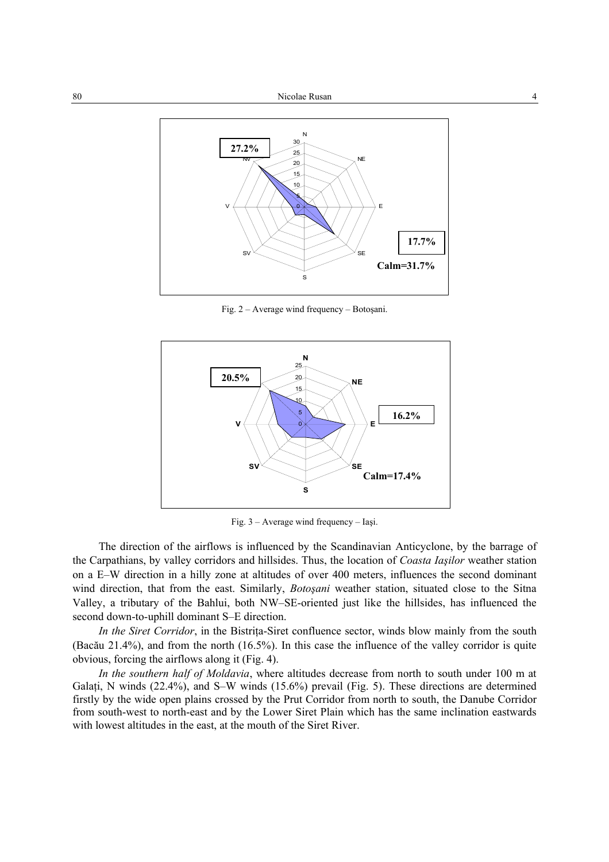

Fig. 2 – Average wind frequency – Botoşani.



Fig. 3 – Average wind frequency – Iaşi.

The direction of the airflows is influenced by the Scandinavian Anticyclone, by the barrage of the Carpathians, by valley corridors and hillsides. Thus, the location of *Coasta Iaşilor* weather station on a E–W direction in a hilly zone at altitudes of over 400 meters, influences the second dominant wind direction, that from the east. Similarly, *Botoşani* weather station, situated close to the Sitna Valley, a tributary of the Bahlui, both NW–SE-oriented just like the hillsides, has influenced the second down-to-uphill dominant S–E direction.

*In the Siret Corridor*, in the Bistrița-Siret confluence sector, winds blow mainly from the south (Bacău 21.4%), and from the north (16.5%). In this case the influence of the valley corridor is quite obvious, forcing the airflows along it (Fig. 4).

*In the southern half of Moldavia*, where altitudes decrease from north to south under 100 m at Galați, N winds (22.4%), and S–W winds (15.6%) prevail (Fig. 5). These directions are determined firstly by the wide open plains crossed by the Prut Corridor from north to south, the Danube Corridor from south-west to north-east and by the Lower Siret Plain which has the same inclination eastwards with lowest altitudes in the east, at the mouth of the Siret River.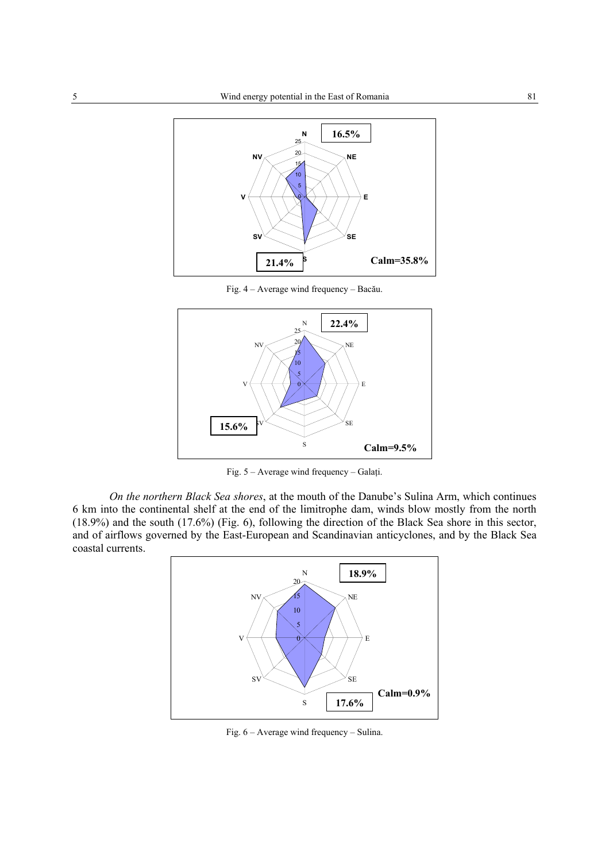

Fig. 4 – Average wind frequency – Bacău.



Fig. 5 – Average wind frequency – Galaţi.

*On the northern Black Sea shores*, at the mouth of the Danube's Sulina Arm, which continues 6 km into the continental shelf at the end of the limitrophe dam, winds blow mostly from the north (18.9%) and the south (17.6%) (Fig. 6), following the direction of the Black Sea shore in this sector, and of airflows governed by the East-European and Scandinavian anticyclones, and by the Black Sea coastal currents.



Fig. 6 – Average wind frequency – Sulina.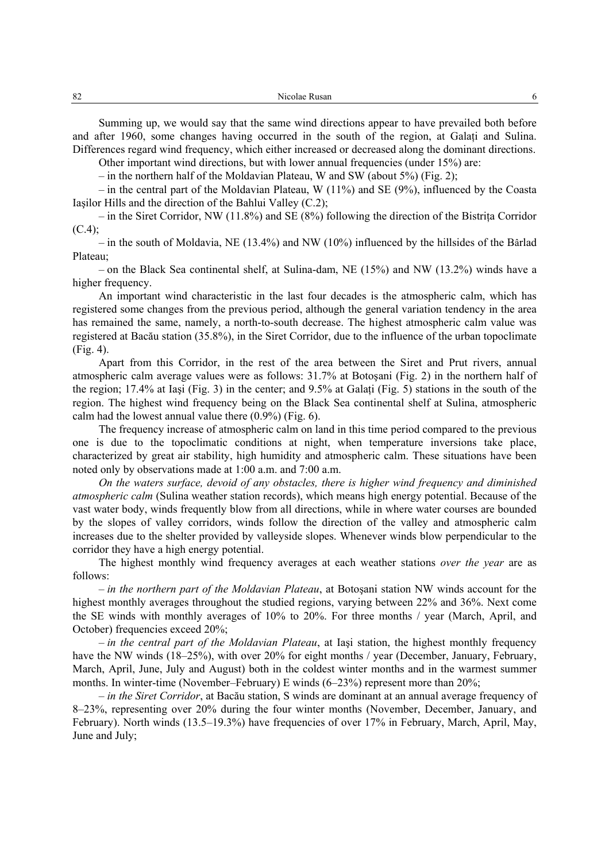Summing up, we would say that the same wind directions appear to have prevailed both before and after 1960, some changes having occurred in the south of the region, at Galati and Sulina. Differences regard wind frequency, which either increased or decreased along the dominant directions.

Other important wind directions, but with lower annual frequencies (under 15%) are:

– in the northern half of the Moldavian Plateau, W and SW (about 5%) (Fig. 2);

 $-$  in the central part of the Moldavian Plateau, W (11%) and SE (9%), influenced by the Coasta Iaşilor Hills and the direction of the Bahlui Valley (C.2);

– in the Siret Corridor, NW (11.8%) and SE (8%) following the direction of the Bistriţa Corridor  $(C.4);$ 

– in the south of Moldavia, NE (13.4%) and NW (10%) influenced by the hillsides of the Bârlad Plateau;

– on the Black Sea continental shelf, at Sulina-dam, NE (15%) and NW (13.2%) winds have a higher frequency.

An important wind characteristic in the last four decades is the atmospheric calm, which has registered some changes from the previous period, although the general variation tendency in the area has remained the same, namely, a north-to-south decrease. The highest atmospheric calm value was registered at Bacău station (35.8%), in the Siret Corridor, due to the influence of the urban topoclimate (Fig. 4).

Apart from this Corridor, in the rest of the area between the Siret and Prut rivers, annual atmospheric calm average values were as follows: 31.7% at Botoşani (Fig. 2) in the northern half of the region; 17.4% at Iaşi (Fig. 3) in the center; and 9.5% at Galaţi (Fig. 5) stations in the south of the region. The highest wind frequency being on the Black Sea continental shelf at Sulina, atmospheric calm had the lowest annual value there (0.9%) (Fig. 6).

The frequency increase of atmospheric calm on land in this time period compared to the previous one is due to the topoclimatic conditions at night, when temperature inversions take place, characterized by great air stability, high humidity and atmospheric calm. These situations have been noted only by observations made at 1:00 a.m. and 7:00 a.m.

*On the waters surface, devoid of any obstacles, there is higher wind frequency and diminished atmospheric calm* (Sulina weather station records), which means high energy potential. Because of the vast water body, winds frequently blow from all directions, while in where water courses are bounded by the slopes of valley corridors, winds follow the direction of the valley and atmospheric calm increases due to the shelter provided by valleyside slopes. Whenever winds blow perpendicular to the corridor they have a high energy potential.

The highest monthly wind frequency averages at each weather stations *over the year* are as follows:

– *in the northern part of the Moldavian Plateau*, at Botoşani station NW winds account for the highest monthly averages throughout the studied regions, varying between 22% and 36%. Next come the SE winds with monthly averages of 10% to 20%. For three months / year (March, April, and October) frequencies exceed 20%;

– *in the central part of the Moldavian Plateau*, at Iaşi station, the highest monthly frequency have the NW winds (18–25%), with over 20% for eight months / year (December, January, February, March, April, June, July and August) both in the coldest winter months and in the warmest summer months. In winter-time (November–February) E winds (6–23%) represent more than 20%;

– *in the Siret Corridor*, at Bacău station, S winds are dominant at an annual average frequency of 8–23%, representing over 20% during the four winter months (November, December, January, and February). North winds (13.5–19.3%) have frequencies of over 17% in February, March, April, May, June and July;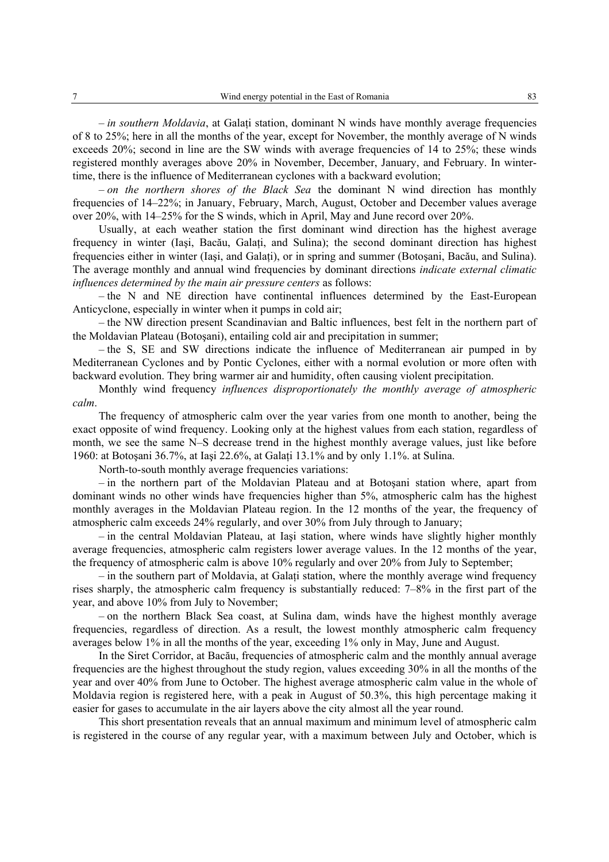– *in southern Moldavia*, at Galaţi station, dominant N winds have monthly average frequencies of 8 to 25%; here in all the months of the year, except for November, the monthly average of N winds exceeds 20%; second in line are the SW winds with average frequencies of 14 to 25%; these winds registered monthly averages above 20% in November, December, January, and February. In wintertime, there is the influence of Mediterranean cyclones with a backward evolution;

– *on the northern shores of the Black Sea* the dominant N wind direction has monthly frequencies of 14–22%; in January, February, March, August, October and December values average over 20%, with 14–25% for the S winds, which in April, May and June record over 20%.

Usually, at each weather station the first dominant wind direction has the highest average frequency in winter (Iasi, Bacău, Galati, and Sulina); the second dominant direction has highest frequencies either in winter (Iași, and Galați), or in spring and summer (Botoșani, Bacău, and Sulina). The average monthly and annual wind frequencies by dominant directions *indicate external climatic influences determined by the main air pressure centers* as follows:

– the N and NE direction have continental influences determined by the East-European Anticyclone, especially in winter when it pumps in cold air;

– the NW direction present Scandinavian and Baltic influences, best felt in the northern part of the Moldavian Plateau (Botoşani), entailing cold air and precipitation in summer;

– the S, SE and SW directions indicate the influence of Mediterranean air pumped in by Mediterranean Cyclones and by Pontic Cyclones, either with a normal evolution or more often with backward evolution. They bring warmer air and humidity, often causing violent precipitation.

Monthly wind frequency *influences disproportionately the monthly average of atmospheric calm*.

The frequency of atmospheric calm over the year varies from one month to another, being the exact opposite of wind frequency. Looking only at the highest values from each station, regardless of month, we see the same N–S decrease trend in the highest monthly average values, just like before 1960: at Botoşani 36.7%, at Iaşi 22.6%, at Galaţi 13.1% and by only 1.1%. at Sulina.

North-to-south monthly average frequencies variations:

– in the northern part of the Moldavian Plateau and at Botoşani station where, apart from dominant winds no other winds have frequencies higher than 5%, atmospheric calm has the highest monthly averages in the Moldavian Plateau region. In the 12 months of the year, the frequency of atmospheric calm exceeds 24% regularly, and over 30% from July through to January;

– in the central Moldavian Plateau, at Iaşi station, where winds have slightly higher monthly average frequencies, atmospheric calm registers lower average values. In the 12 months of the year, the frequency of atmospheric calm is above 10% regularly and over 20% from July to September;

– in the southern part of Moldavia, at Galaţi station, where the monthly average wind frequency rises sharply, the atmospheric calm frequency is substantially reduced: 7–8% in the first part of the year, and above 10% from July to November;

– on the northern Black Sea coast, at Sulina dam, winds have the highest monthly average frequencies, regardless of direction. As a result, the lowest monthly atmospheric calm frequency averages below 1% in all the months of the year, exceeding 1% only in May, June and August.

In the Siret Corridor, at Bacău, frequencies of atmospheric calm and the monthly annual average frequencies are the highest throughout the study region, values exceeding 30% in all the months of the year and over 40% from June to October. The highest average atmospheric calm value in the whole of Moldavia region is registered here, with a peak in August of 50.3%, this high percentage making it easier for gases to accumulate in the air layers above the city almost all the year round.

This short presentation reveals that an annual maximum and minimum level of atmospheric calm is registered in the course of any regular year, with a maximum between July and October, which is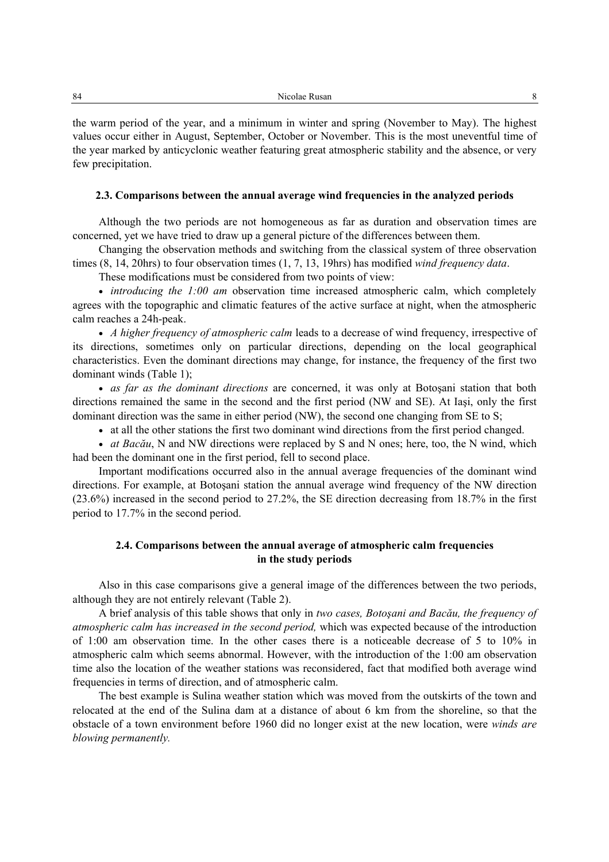the warm period of the year, and a minimum in winter and spring (November to May). The highest values occur either in August, September, October or November. This is the most uneventful time of the year marked by anticyclonic weather featuring great atmospheric stability and the absence, or very few precipitation.

#### **2.3. Comparisons between the annual average wind frequencies in the analyzed periods**

Although the two periods are not homogeneous as far as duration and observation times are concerned, yet we have tried to draw up a general picture of the differences between them.

Changing the observation methods and switching from the classical system of three observation times (8, 14, 20hrs) to four observation times (1, 7, 13, 19hrs) has modified *wind frequency data*.

These modifications must be considered from two points of view:

• *introducing the 1:00 am* observation time increased atmospheric calm, which completely agrees with the topographic and climatic features of the active surface at night, when the atmospheric calm reaches a 24h-peak.

• *A higher frequency of atmospheric calm* leads to a decrease of wind frequency, irrespective of its directions, sometimes only on particular directions, depending on the local geographical characteristics. Even the dominant directions may change, for instance, the frequency of the first two dominant winds (Table 1);

• *as far as the dominant directions* are concerned, it was only at Botoşani station that both directions remained the same in the second and the first period (NW and SE). At Iaşi, only the first dominant direction was the same in either period (NW), the second one changing from SE to S;

• at all the other stations the first two dominant wind directions from the first period changed.

• *at Bacău*, N and NW directions were replaced by S and N ones; here, too, the N wind, which had been the dominant one in the first period, fell to second place.

Important modifications occurred also in the annual average frequencies of the dominant wind directions. For example, at Botoşani station the annual average wind frequency of the NW direction (23.6%) increased in the second period to 27.2%, the SE direction decreasing from 18.7% in the first period to 17.7% in the second period.

# **2.4. Comparisons between the annual average of atmospheric calm frequencies in the study periods**

Also in this case comparisons give a general image of the differences between the two periods, although they are not entirely relevant (Table 2).

A brief analysis of this table shows that only in *two cases, Botoşani and Bacău, the frequency of atmospheric calm has increased in the second period,* which was expected because of the introduction of 1:00 am observation time. In the other cases there is a noticeable decrease of 5 to 10% in atmospheric calm which seems abnormal. However, with the introduction of the 1:00 am observation time also the location of the weather stations was reconsidered, fact that modified both average wind frequencies in terms of direction, and of atmospheric calm.

The best example is Sulina weather station which was moved from the outskirts of the town and relocated at the end of the Sulina dam at a distance of about 6 km from the shoreline, so that the obstacle of a town environment before 1960 did no longer exist at the new location, were *winds are blowing permanently.*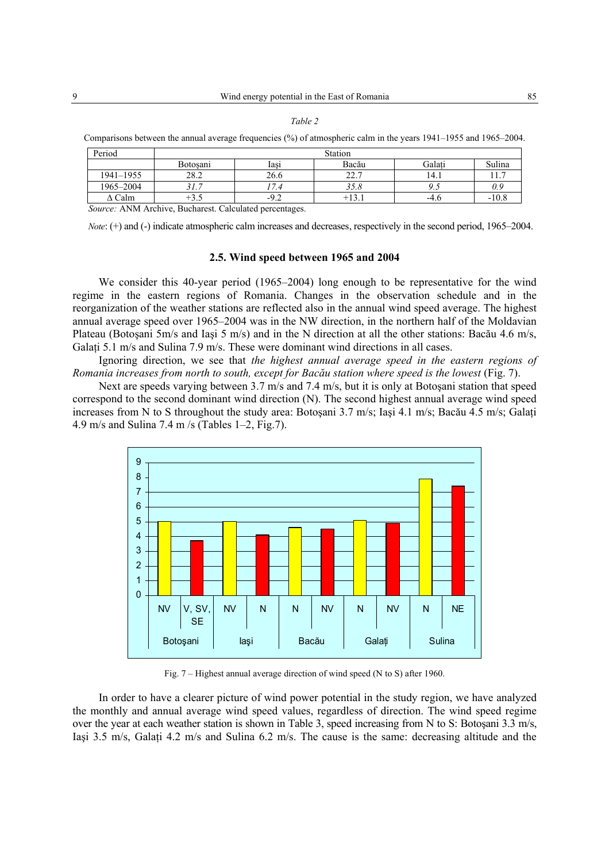#### *Table 2*

Comparisons between the annual average frequencies (%) of atmospheric calm in the years 1941–1955 and 1965–2004.

| Period                                                                          | Station                             |        |               |        |         |  |  |  |  |  |  |  |
|---------------------------------------------------------------------------------|-------------------------------------|--------|---------------|--------|---------|--|--|--|--|--|--|--|
|                                                                                 | Galati<br>Botosani<br>Bacău<br>lası |        |               |        |         |  |  |  |  |  |  |  |
| 1941-1955                                                                       | 28.2                                | 26.6   | າາ າ<br>44. . | l 4.1  |         |  |  |  |  |  |  |  |
| 1965-2004                                                                       |                                     |        | 35.8          |        | 0.9     |  |  |  |  |  |  |  |
| $\Delta$ Calm                                                                   | +3.3                                | $-9.2$ | $+13.1$       | $-4.6$ | $-10.8$ |  |  |  |  |  |  |  |
| $C_1, \ldots, C_n$ AND $\Lambda$ Andrian Durchauset $C_2$ landated manageta and |                                     |        |               |        |         |  |  |  |  |  |  |  |

*Source:* ANM Archive, Bucharest. Calculated percentages.

*Note*: (+) and (-) indicate atmospheric calm increases and decreases, respectively in the second period, 1965–2004.

# **2.5. Wind speed between 1965 and 2004**

We consider this 40-year period (1965–2004) long enough to be representative for the wind regime in the eastern regions of Romania. Changes in the observation schedule and in the reorganization of the weather stations are reflected also in the annual wind speed average. The highest annual average speed over 1965–2004 was in the NW direction, in the northern half of the Moldavian Plateau (Botoşani 5m/s and Iaşi 5 m/s) and in the N direction at all the other stations: Bacău 4.6 m/s, Galati 5.1 m/s and Sulina 7.9 m/s. These were dominant wind directions in all cases.

Ignoring direction, we see that *the highest annual average speed in the eastern regions of Romania increases from north to south, except for Bacău station where speed is the lowest* (Fig. 7).

Next are speeds varying between 3.7 m/s and 7.4 m/s, but it is only at Botoşani station that speed correspond to the second dominant wind direction (N). The second highest annual average wind speed increases from N to S throughout the study area: Botoşani 3.7 m/s; Iaşi 4.1 m/s; Bacău 4.5 m/s; Galați 4.9 m/s and Sulina 7.4 m /s (Tables 1–2, Fig.7).



Fig. 7 – Highest annual average direction of wind speed (N to S) after 1960.

In order to have a clearer picture of wind power potential in the study region, we have analyzed the monthly and annual average wind speed values, regardless of direction. The wind speed regime over the year at each weather station is shown in Table 3, speed increasing from N to S: Botoşani 3.3 m/s, Iasi 3.5 m/s, Galati 4.2 m/s and Sulina 6.2 m/s. The cause is the same: decreasing altitude and the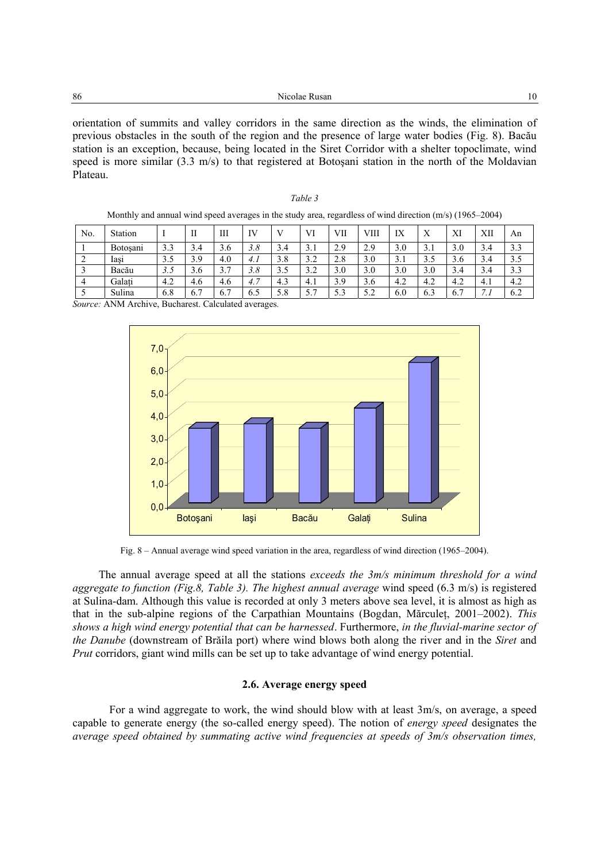orientation of summits and valley corridors in the same direction as the winds, the elimination of previous obstacles in the south of the region and the presence of large water bodies (Fig. 8). Bacău station is an exception, because, being located in the Siret Corridor with a shelter topoclimate, wind speed is more similar (3.3 m/s) to that registered at Botoşani station in the north of the Moldavian Plateau.

*Table 3* 

|                | Monthly and annual wind speed averages in the study area, regardless of wind direction $(m/s)$ (1965–2004) |     |     |     |     |     |     |     |      |     |     |     |     |     |
|----------------|------------------------------------------------------------------------------------------------------------|-----|-----|-----|-----|-----|-----|-----|------|-----|-----|-----|-----|-----|
| N <sub>0</sub> | <b>Station</b>                                                                                             |     | Н   | Ш   | IV  |     | VI  | VII | VIII | IX  | X   | XI  | XII | An  |
|                | <b>Botosani</b>                                                                                            | 3.3 | 3.4 | 3.6 | 3.8 | 3.4 | 3.1 | 2.9 | 2.9  | 3.0 | 3.1 | 3.0 | 3.4 | 3.3 |
| 2              | Iasi                                                                                                       | 3.5 | 3.9 | 4.0 | 4.1 | 3.8 | 3.2 | 2.8 | 3.0  | 3.1 | 3.5 | 3.6 | 3.4 | 3.5 |
| -3             | Bacău                                                                                                      | 3.5 | 3.6 | 3.7 | 3.8 | 3.5 | 3.2 | 3.0 | 3.0  | 3.0 | 3.0 | 3.4 | 3.4 | 3.3 |
| $\overline{4}$ | Galati                                                                                                     | 4.2 | 4.6 | 4.6 | 4.7 | 4.3 | 4.1 | 3.9 | 3.6  | 4.2 | 4.2 | 4.2 | 4.1 | 4.2 |
|                | Sulina                                                                                                     | 6.8 | 6.7 | 6.7 | 6.5 | 5.8 | 5.7 | 5.3 | 5.2  | 6.0 | 6.3 | 6.7 |     | 6.2 |

*Source:* ANM Archive, Bucharest. Calculated averages*.* 



Fig. 8 – Annual average wind speed variation in the area, regardless of wind direction (1965–2004).

The annual average speed at all the stations *exceeds the 3m/s minimum threshold for a wind aggregate to function (Fig.8, Table 3). The highest annual average* wind speed (6.3 m/s) is registered at Sulina-dam. Although this value is recorded at only 3 meters above sea level, it is almost as high as that in the sub-alpine regions of the Carpathian Mountains (Bogdan, Mărculeţ, 2001–2002). *This shows a high wind energy potential that can be harnessed*. Furthermore, *in the fluvial-marine sector of the Danube* (downstream of Brăila port) where wind blows both along the river and in the *Siret* and *Prut* corridors, giant wind mills can be set up to take advantage of wind energy potential.

## **2.6. Average energy speed**

For a wind aggregate to work, the wind should blow with at least 3m/s, on average, a speed capable to generate energy (the so-called energy speed). The notion of *energy speed* designates the *average speed obtained by summating active wind frequencies at speeds of 3m/s observation times,*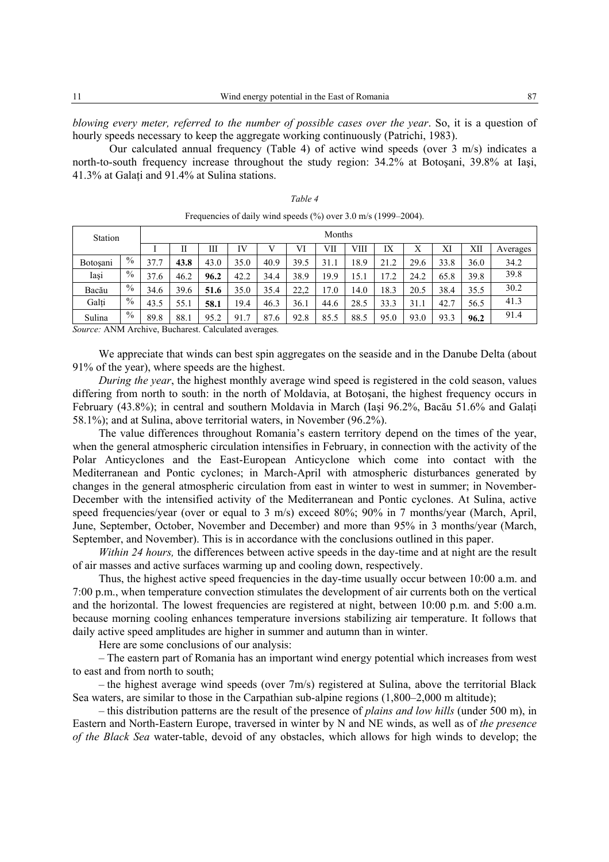*blowing every meter, referred to the number of possible cases over the year*. So, it is a question of hourly speeds necessary to keep the aggregate working continuously (Patrichi, 1983).

Our calculated annual frequency (Table 4) of active wind speeds (over 3 m/s) indicates a north-to-south frequency increase throughout the study region: 34.2% at Botoşani, 39.8% at Iaşi, 41.3% at Galati and 91.4% at Sulina stations.

| Station          | Months |      |                       |      |      |      |      |      |      |      |      |      |      |          |
|------------------|--------|------|-----------------------|------|------|------|------|------|------|------|------|------|------|----------|
|                  |        |      | П                     | Ш    | IV   |      | VI   | VII  | VШ   | IX   | Х    | XI   | XII  | Averages |
| <b>Botosani</b>  | $\%$   | 37.7 | 43.8                  | 43.0 | 35.0 | 40.9 | 39.5 | 31.1 | 18.9 | 21.2 | 29.6 | 33.8 | 36.0 | 34.2     |
| Iași             | $\%$   | 37.6 | 46.2                  | 96.2 | 42.2 | 34.4 | 38.9 | 19.9 | 15.1 | 17.2 | 24.2 | 65.8 | 39.8 | 39.8     |
| Bacău            | $\%$   | 34.6 | 39.6                  | 51.6 | 35.0 | 35.4 | 22,2 | 7.0  | 14.0 | 18.3 | 20.5 | 38.4 | 35.5 | 30.2     |
| Galti            | $\%$   | 43.5 | 55.1                  | 58.1 | 19.4 | 46.3 | 36.1 | 44.6 | 28.5 | 33.3 | 31.1 | 42.  | 56.5 | 41.3     |
| Sulina<br>$\sim$ | $\%$   | 89.8 | 88.1<br>$\sim$ $\sim$ | 95.2 | 91.7 | 87.6 | 92.8 | 85.5 | 88.5 | 95.0 | 93.0 | 93.3 | 96.2 | 91.4     |

*Table 4*  Frequencies of daily wind speeds (%) over 3.0 m/s (1999–2004).

*Source:* ANM Archive, Bucharest. Calculated averages*.* 

We appreciate that winds can best spin aggregates on the seaside and in the Danube Delta (about 91% of the year), where speeds are the highest.

*During the year*, the highest monthly average wind speed is registered in the cold season, values differing from north to south: in the north of Moldavia, at Botoşani, the highest frequency occurs in February (43.8%); in central and southern Moldavia in March (Iaşi 96.2%, Bacău 51.6% and Galaţi 58.1%); and at Sulina, above territorial waters, in November (96.2%).

The value differences throughout Romania's eastern territory depend on the times of the year, when the general atmospheric circulation intensifies in February, in connection with the activity of the Polar Anticyclones and the East-European Anticyclone which come into contact with the Mediterranean and Pontic cyclones; in March-April with atmospheric disturbances generated by changes in the general atmospheric circulation from east in winter to west in summer; in November-December with the intensified activity of the Mediterranean and Pontic cyclones. At Sulina, active speed frequencies/year (over or equal to 3 m/s) exceed 80%; 90% in 7 months/year (March, April, June, September, October, November and December) and more than 95% in 3 months/year (March, September, and November). This is in accordance with the conclusions outlined in this paper.

*Within 24 hours,* the differences between active speeds in the day-time and at night are the result of air masses and active surfaces warming up and cooling down, respectively.

Thus, the highest active speed frequencies in the day-time usually occur between 10:00 a.m. and 7:00 p.m., when temperature convection stimulates the development of air currents both on the vertical and the horizontal. The lowest frequencies are registered at night, between 10:00 p.m. and 5:00 a.m. because morning cooling enhances temperature inversions stabilizing air temperature. It follows that daily active speed amplitudes are higher in summer and autumn than in winter.

Here are some conclusions of our analysis:

– The eastern part of Romania has an important wind energy potential which increases from west to east and from north to south;

– the highest average wind speeds (over 7m/s) registered at Sulina, above the territorial Black Sea waters, are similar to those in the Carpathian sub-alpine regions (1,800–2,000 m altitude);

– this distribution patterns are the result of the presence of *plains and low hills* (under 500 m), in Eastern and North-Eastern Europe, traversed in winter by N and NE winds, as well as of *the presence of the Black Sea* water-table, devoid of any obstacles, which allows for high winds to develop; the